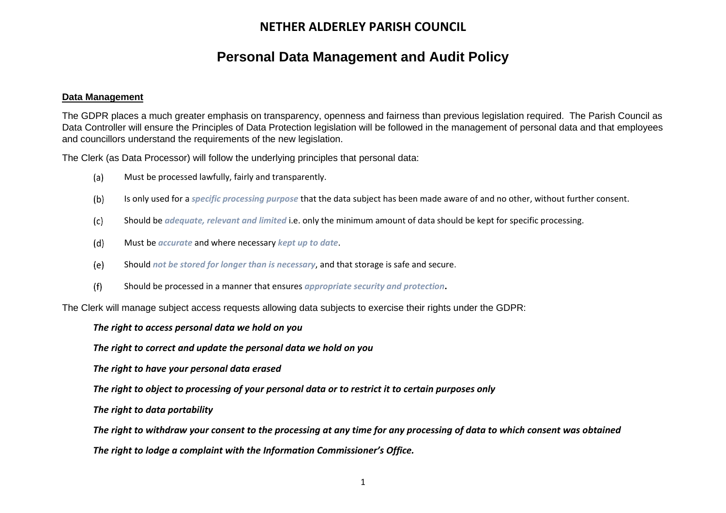# **Personal Data Management and Audit Policy**

#### **Data Management**

The GDPR places a much greater emphasis on transparency, openness and fairness than previous legislation required. The Parish Council as Data Controller will ensure the Principles of Data Protection legislation will be followed in the management of personal data and that employees and councillors understand the requirements of the new legislation.

The Clerk (as Data Processor) will follow the underlying principles that personal data:

- $(a)$ Must be processed lawfully, fairly and transparently.
- $(b)$ Is only used for a *specific processing purpose* that the data subject has been made aware of and no other, without further consent.
- $(c)$ Should be *adequate, relevant and limited* i.e. only the minimum amount of data should be kept for specific processing.
- $(d)$ Must be *accurate* and where necessary *kept up to date*.
- $(e)$ Should *not be stored for longer than is necessary*, and that storage is safe and secure.
- $(f)$ Should be processed in a manner that ensures *appropriate security and protection***.**

The Clerk will manage subject access requests allowing data subjects to exercise their rights under the GDPR:

*The right to access personal data we hold on you*

*The right to correct and update the personal data we hold on you*

*The right to have your personal data erased*

*The right to object to processing of your personal data or to restrict it to certain purposes only*

*The right to data portability*

*The right to withdraw your consent to the processing at any time for any processing of data to which consent was obtained*

*The right to lodge a complaint with the Information Commissioner's Office.*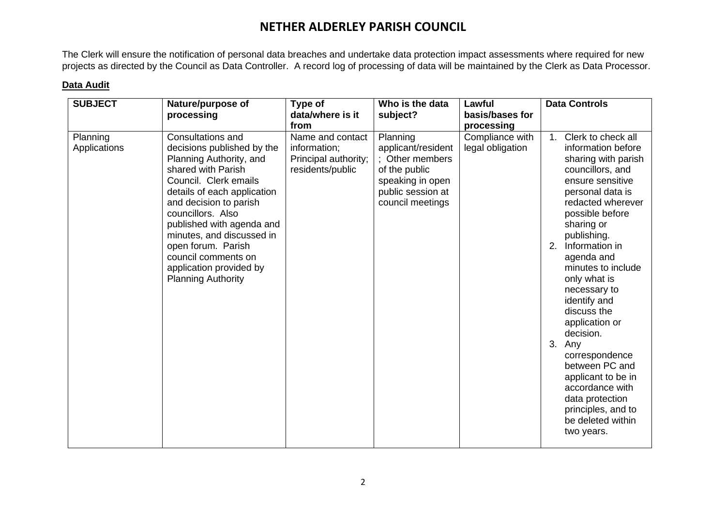The Clerk will ensure the notification of personal data breaches and undertake data protection impact assessments where required for new projects as directed by the Council as Data Controller. A record log of processing of data will be maintained by the Clerk as Data Processor.

#### **Data Audit**

| <b>SUBJECT</b>           | Nature/purpose of                                                                                                                                                                                                                                                                                                                                                      | Type of                                                                      | Who is the data                                                                                                                 | Lawful                              | <b>Data Controls</b>                                                                                                                                                                                                                                                                                                                                                                                                                                                                                                                   |  |
|--------------------------|------------------------------------------------------------------------------------------------------------------------------------------------------------------------------------------------------------------------------------------------------------------------------------------------------------------------------------------------------------------------|------------------------------------------------------------------------------|---------------------------------------------------------------------------------------------------------------------------------|-------------------------------------|----------------------------------------------------------------------------------------------------------------------------------------------------------------------------------------------------------------------------------------------------------------------------------------------------------------------------------------------------------------------------------------------------------------------------------------------------------------------------------------------------------------------------------------|--|
|                          | processing                                                                                                                                                                                                                                                                                                                                                             | data/where is it<br>from                                                     | subject?                                                                                                                        | basis/bases for<br>processing       |                                                                                                                                                                                                                                                                                                                                                                                                                                                                                                                                        |  |
| Planning<br>Applications | Consultations and<br>decisions published by the<br>Planning Authority, and<br>shared with Parish<br>Council. Clerk emails<br>details of each application<br>and decision to parish<br>councillors. Also<br>published with agenda and<br>minutes, and discussed in<br>open forum. Parish<br>council comments on<br>application provided by<br><b>Planning Authority</b> | Name and contact<br>information;<br>Principal authority;<br>residents/public | Planning<br>applicant/resident<br>: Other members<br>of the public<br>speaking in open<br>public session at<br>council meetings | Compliance with<br>legal obligation | Clerk to check all<br>1.<br>information before<br>sharing with parish<br>councillors, and<br>ensure sensitive<br>personal data is<br>redacted wherever<br>possible before<br>sharing or<br>publishing.<br>Information in<br>2.<br>agenda and<br>minutes to include<br>only what is<br>necessary to<br>identify and<br>discuss the<br>application or<br>decision.<br>3.<br>Any<br>correspondence<br>between PC and<br>applicant to be in<br>accordance with<br>data protection<br>principles, and to<br>be deleted within<br>two years. |  |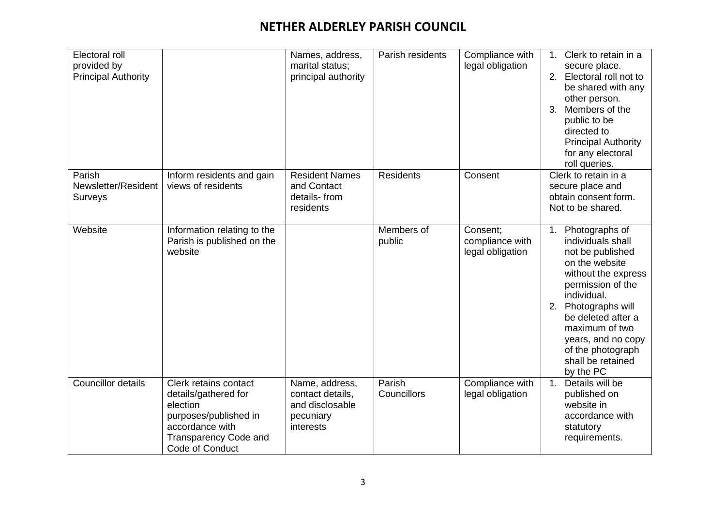| Electoral roll<br>provided by<br><b>Principal Authority</b> |                                                                                                                                                          | Names, address,<br>marital status;<br>principal authority                       | Parish residents      | Compliance with<br>legal obligation             | Clerk to retain in a<br>$1_{\cdot}$<br>secure place.<br>Electoral roll not to<br>2.<br>be shared with any<br>other person.<br>Members of the<br>3.<br>public to be<br>directed to<br><b>Principal Authority</b><br>for any electoral<br>roll queries.                               |
|-------------------------------------------------------------|----------------------------------------------------------------------------------------------------------------------------------------------------------|---------------------------------------------------------------------------------|-----------------------|-------------------------------------------------|-------------------------------------------------------------------------------------------------------------------------------------------------------------------------------------------------------------------------------------------------------------------------------------|
| Parish<br>Newsletter/Resident<br><b>Surveys</b>             | Inform residents and gain<br>views of residents                                                                                                          | <b>Resident Names</b><br>and Contact<br>details-from<br>residents               | <b>Residents</b>      | Consent                                         | Clerk to retain in a<br>secure place and<br>obtain consent form.<br>Not to be shared.                                                                                                                                                                                               |
| Website                                                     | Information relating to the<br>Parish is published on the<br>website                                                                                     |                                                                                 | Members of<br>public  | Consent:<br>compliance with<br>legal obligation | 1. Photographs of<br>individuals shall<br>not be published<br>on the website<br>without the express<br>permission of the<br>individual.<br>2. Photographs will<br>be deleted after a<br>maximum of two<br>years, and no copy<br>of the photograph<br>shall be retained<br>by the PC |
| <b>Councillor details</b>                                   | Clerk retains contact<br>details/gathered for<br>election<br>purposes/published in<br>accordance with<br><b>Transparency Code and</b><br>Code of Conduct | Name, address,<br>contact details,<br>and disclosable<br>pecuniary<br>interests | Parish<br>Councillors | Compliance with<br>legal obligation             | 1. Details will be<br>published on<br>website in<br>accordance with<br>statutory<br>requirements.                                                                                                                                                                                   |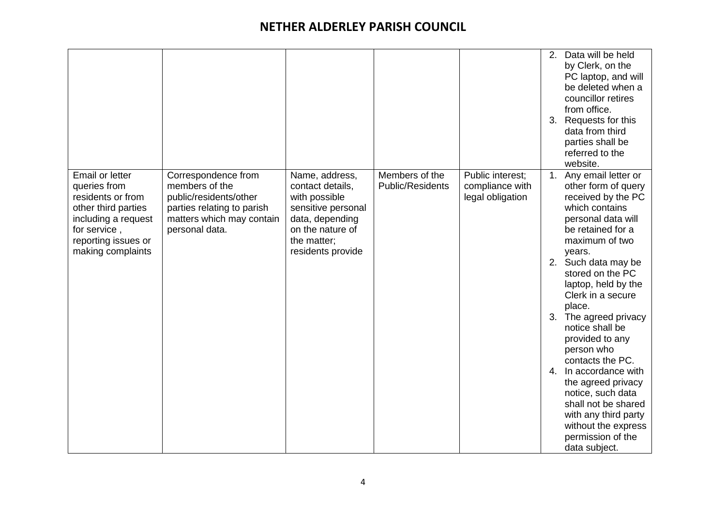|                                                                                                                                                                |                                                                                                                                              |                                                                                                                                                      |                                           |                                                         | 2.<br>3. | Data will be held<br>by Clerk, on the<br>PC laptop, and will<br>be deleted when a<br>councillor retires<br>from office.<br>Requests for this<br>data from third<br>parties shall be<br>referred to the<br>website.                                                                                                                                                                                                                                                                                                                       |
|----------------------------------------------------------------------------------------------------------------------------------------------------------------|----------------------------------------------------------------------------------------------------------------------------------------------|------------------------------------------------------------------------------------------------------------------------------------------------------|-------------------------------------------|---------------------------------------------------------|----------|------------------------------------------------------------------------------------------------------------------------------------------------------------------------------------------------------------------------------------------------------------------------------------------------------------------------------------------------------------------------------------------------------------------------------------------------------------------------------------------------------------------------------------------|
| Email or letter<br>queries from<br>residents or from<br>other third parties<br>including a request<br>for service,<br>reporting issues or<br>making complaints | Correspondence from<br>members of the<br>public/residents/other<br>parties relating to parish<br>matters which may contain<br>personal data. | Name, address,<br>contact details,<br>with possible<br>sensitive personal<br>data, depending<br>on the nature of<br>the matter;<br>residents provide | Members of the<br><b>Public/Residents</b> | Public interest;<br>compliance with<br>legal obligation | 1.<br>4. | Any email letter or<br>other form of query<br>received by the PC<br>which contains<br>personal data will<br>be retained for a<br>maximum of two<br>years.<br>2. Such data may be<br>stored on the PC<br>laptop, held by the<br>Clerk in a secure<br>place.<br>3. The agreed privacy<br>notice shall be<br>provided to any<br>person who<br>contacts the PC.<br>In accordance with<br>the agreed privacy<br>notice, such data<br>shall not be shared<br>with any third party<br>without the express<br>permission of the<br>data subject. |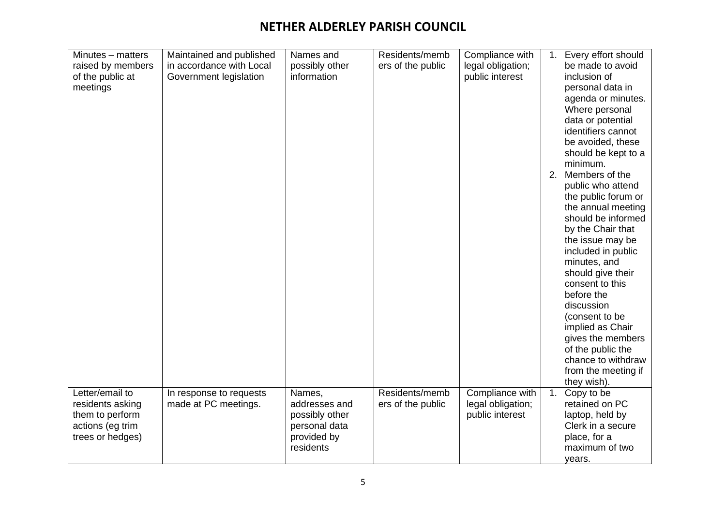| Minutes - matters | Maintained and published | Names and      | Residents/memb    | Compliance with   | $1_{\cdot}$ | Every effort should                     |
|-------------------|--------------------------|----------------|-------------------|-------------------|-------------|-----------------------------------------|
| raised by members | in accordance with Local | possibly other | ers of the public | legal obligation; |             | be made to avoid                        |
| of the public at  | Government legislation   | information    |                   | public interest   |             | inclusion of                            |
| meetings          |                          |                |                   |                   |             | personal data in                        |
|                   |                          |                |                   |                   |             | agenda or minutes.                      |
|                   |                          |                |                   |                   |             | Where personal                          |
|                   |                          |                |                   |                   |             | data or potential                       |
|                   |                          |                |                   |                   |             | identifiers cannot                      |
|                   |                          |                |                   |                   |             | be avoided, these                       |
|                   |                          |                |                   |                   |             | should be kept to a                     |
|                   |                          |                |                   |                   |             | minimum.                                |
|                   |                          |                |                   |                   |             | 2. Members of the                       |
|                   |                          |                |                   |                   |             | public who attend                       |
|                   |                          |                |                   |                   |             | the public forum or                     |
|                   |                          |                |                   |                   |             | the annual meeting                      |
|                   |                          |                |                   |                   |             | should be informed                      |
|                   |                          |                |                   |                   |             | by the Chair that                       |
|                   |                          |                |                   |                   |             | the issue may be                        |
|                   |                          |                |                   |                   |             | included in public                      |
|                   |                          |                |                   |                   |             | minutes, and                            |
|                   |                          |                |                   |                   |             | should give their                       |
|                   |                          |                |                   |                   |             | consent to this                         |
|                   |                          |                |                   |                   |             | before the                              |
|                   |                          |                |                   |                   |             | discussion                              |
|                   |                          |                |                   |                   |             | (consent to be                          |
|                   |                          |                |                   |                   |             |                                         |
|                   |                          |                |                   |                   |             | implied as Chair                        |
|                   |                          |                |                   |                   |             | gives the members                       |
|                   |                          |                |                   |                   |             | of the public the<br>chance to withdraw |
|                   |                          |                |                   |                   |             |                                         |
|                   |                          |                |                   |                   |             | from the meeting if                     |
|                   |                          |                |                   |                   |             | they wish).                             |
| Letter/email to   | In response to requests  | Names,         | Residents/memb    | Compliance with   | 1.          | Copy to be                              |
| residents asking  | made at PC meetings.     | addresses and  | ers of the public | legal obligation; |             | retained on PC                          |
| them to perform   |                          | possibly other |                   | public interest   |             | laptop, held by                         |
| actions (eg trim  |                          | personal data  |                   |                   |             | Clerk in a secure                       |
| trees or hedges)  |                          | provided by    |                   |                   |             | place, for a                            |
|                   |                          | residents      |                   |                   |             | maximum of two                          |
|                   |                          |                |                   |                   |             | years.                                  |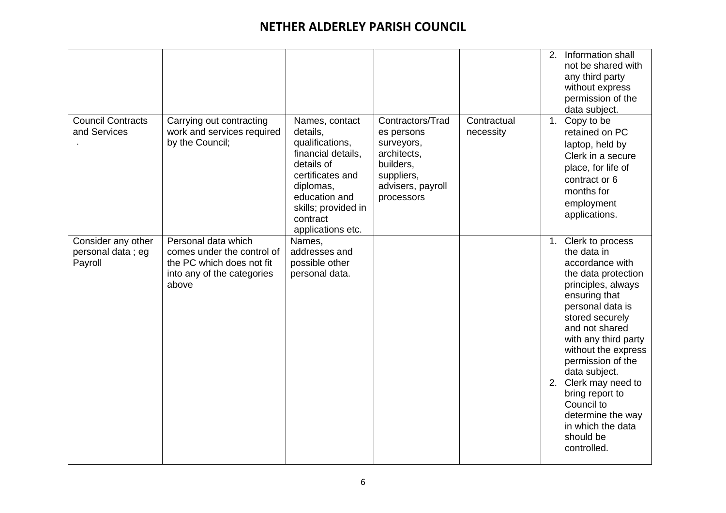| <b>Council Contracts</b><br>and Services           | Carrying out contracting<br>work and services required                                                                | Names, contact<br>details,                                                                                                                                    | Contractors/Trad                                                                                      | Contractual<br>necessity | 2. Information shall<br>not be shared with<br>any third party<br>without express<br>permission of the<br>data subject.<br>1. Copy to be                                                                                                                                                                                                                                                          |
|----------------------------------------------------|-----------------------------------------------------------------------------------------------------------------------|---------------------------------------------------------------------------------------------------------------------------------------------------------------|-------------------------------------------------------------------------------------------------------|--------------------------|--------------------------------------------------------------------------------------------------------------------------------------------------------------------------------------------------------------------------------------------------------------------------------------------------------------------------------------------------------------------------------------------------|
|                                                    | by the Council;                                                                                                       | qualifications,<br>financial details,<br>details of<br>certificates and<br>diplomas,<br>education and<br>skills; provided in<br>contract<br>applications etc. | es persons<br>surveyors,<br>architects,<br>builders,<br>suppliers,<br>advisers, payroll<br>processors |                          | retained on PC<br>laptop, held by<br>Clerk in a secure<br>place, for life of<br>contract or 6<br>months for<br>employment<br>applications.                                                                                                                                                                                                                                                       |
| Consider any other<br>personal data; eg<br>Payroll | Personal data which<br>comes under the control of<br>the PC which does not fit<br>into any of the categories<br>above | Names,<br>addresses and<br>possible other<br>personal data.                                                                                                   |                                                                                                       |                          | 1. Clerk to process<br>the data in<br>accordance with<br>the data protection<br>principles, always<br>ensuring that<br>personal data is<br>stored securely<br>and not shared<br>with any third party<br>without the express<br>permission of the<br>data subject.<br>2. Clerk may need to<br>bring report to<br>Council to<br>determine the way<br>in which the data<br>should be<br>controlled. |